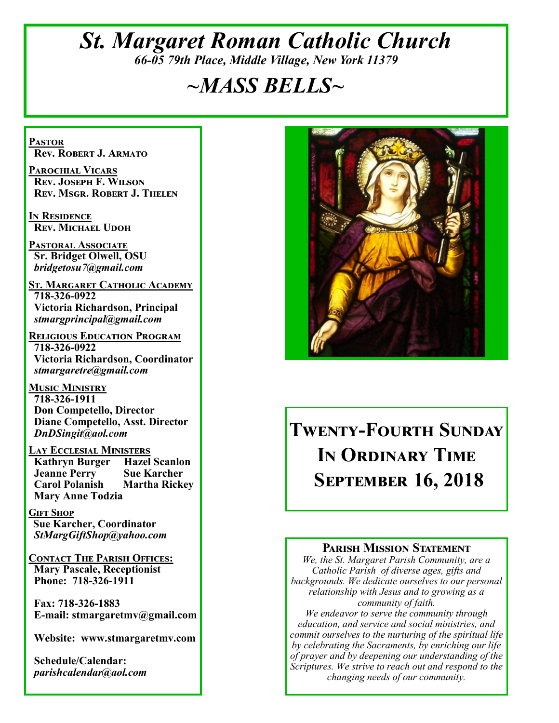# *St. Margaret Roman Catholic Church 66-05 79th Place, Middle Village, New York 11379*

# *~MASS BELLS~*

**Pastor Rev. Robert J. Armato**

**Parochial Vicars Rev. Joseph F. Wilson Rev. Msgr. Robert J. Thelen**

**In Residence Rev. Michael Udoh**

**Pastoral Associate Sr. Bridget Olwell, OSU**  *bridgetosu7@gmail.com*

**St. Margaret Catholic Academy 718-326-0922 Victoria Richardson, Principal**  *stmargprincipal@gmail.com*

**Religious Education Program 718-326-0922 Victoria Richardson, Coordinator** *stmargaretre@gmail.com*

**Music Ministry 718-326-1911 Don Competello, Director Diane Competello, Asst. Director** *DnDSingit@aol.com*

**Lay Ecclesial Ministers Kathryn Burger Jeanne Perry Sue Karcher Carol Polanish Martha Rickey Mary Anne Todzia**

**Gift Shop Sue Karcher, Coordinator** *StMargGiftShop@yahoo.com*

**Contact The Parish Offices: Mary Pascale, Receptionist Phone: 718-326-1911** 

 **Fax: 718-326-1883 E-mail: stmargaretmv@gmail.com**

 **Website: www.stmargaretmv.com**

 **Schedule/Calendar:** *parishcalendar@aol.com* 



# **Twenty-Fourth Sunday In Ordinary Time September 16, 2018**

#### **Parish Mission Statement**

*We, the St. Margaret Parish Community, are a Catholic Parish of diverse ages, gifts and backgrounds. We dedicate ourselves to our personal relationship with Jesus and to growing as a community of faith.*

*We endeavor to serve the community through education, and service and social ministries, and commit ourselves to the nurturing of the spiritual life by celebrating the Sacraments, by enriching our life of prayer and by deepening our understanding of the Scriptures. We strive to reach out and respond to the changing needs of our community.*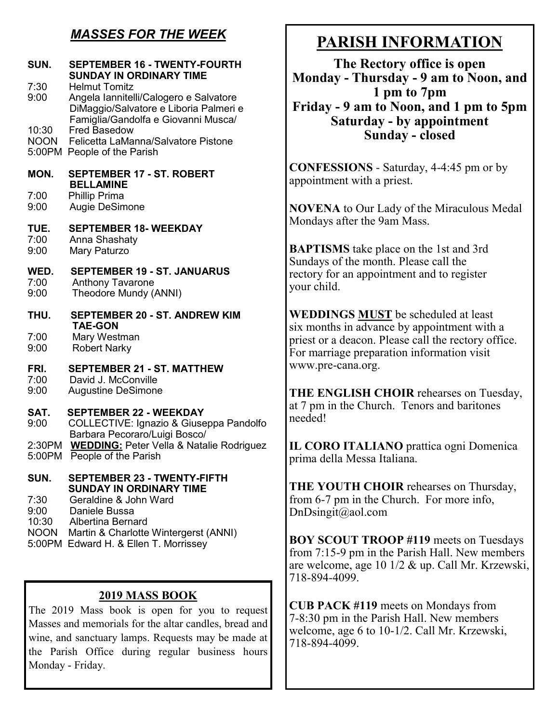## *MASSES FOR THE WEEK*

| SUN.           | <b>SEPTEMBER 16 - TWENTY-FOURTH</b><br><b>SUNDAY IN ORDINARY TIME</b>                                                                           | Mon                   |  |
|----------------|-------------------------------------------------------------------------------------------------------------------------------------------------|-----------------------|--|
| 7:30<br>9:00   | <b>Helmut Tomitz</b><br>Angela Iannitelli/Calogero e Salvatore<br>DiMaggio/Salvatore e Liboria Palmeri e<br>Famiglia/Gandolfa e Giovanni Musca/ | Frid                  |  |
| 10:30          | <b>Fred Basedow</b><br>NOON Felicetta LaManna/Salvatore Pistone<br>5:00PM People of the Parish                                                  |                       |  |
| MON.           | <b>SEPTEMBER 17 - ST. ROBERT</b><br><b>BELLAMINE</b>                                                                                            | <b>CONI</b><br>appoir |  |
| 7:00<br>9:00   | <b>Phillip Prima</b><br>Augie DeSimone                                                                                                          | <b>NOVI</b>           |  |
| TUE.<br>7:00   | <b>SEPTEMBER 18- WEEKDAY</b><br>Anna Shashaty                                                                                                   | Monda<br><b>BAPT</b>  |  |
| 9:00           | Mary Paturzo                                                                                                                                    | Sunda                 |  |
| WED.<br>7:00   | <b>SEPTEMBER 19 - ST. JANUARUS</b><br><b>Anthony Tavarone</b>                                                                                   | rectory               |  |
| 9:00           | Theodore Mundy (ANNI)                                                                                                                           | your c                |  |
| THU.           | <b>SEPTEMBER 20 - ST. ANDREW KIM</b><br><b>TAE-GON</b>                                                                                          | <b>WED</b>            |  |
| 7:00           | Mary Westman                                                                                                                                    | six mo<br>priest      |  |
| 9:00           | <b>Robert Narky</b>                                                                                                                             | For ma                |  |
| FRI.<br>7:00   | <b>SEPTEMBER 21 - ST. MATTHEW</b><br>David J. McConville                                                                                        | www.                  |  |
| 9:00           | <b>Augustine DeSimone</b>                                                                                                                       | <b>THE I</b>          |  |
| SAT.           | <b>SEPTEMBER 22 - WEEKDAY</b>                                                                                                                   | at $7$ pr<br>needed   |  |
| 9:00           | COLLECTIVE: Ignazio & Giuseppa Pandolfo<br>Barbara Pecoraro/Luigi Bosco/                                                                        |                       |  |
| 2:30PM         | <b>WEDDING: Peter Vella &amp; Natalie Rodriguez</b>                                                                                             | IL CC                 |  |
| 5:00PM         | People of the Parish                                                                                                                            | prima                 |  |
| SUN.           | <b>SEPTEMBER 23 - TWENTY-FIFTH</b><br><b>SUNDAY IN ORDINARY TIME</b>                                                                            | THE \                 |  |
| 7:30           | Geraldine & John Ward                                                                                                                           | from 6                |  |
| 9:00<br>10:30  | Daniele Bussa<br><b>Albertina Bernard</b>                                                                                                       | DnDsi                 |  |
|                | NOON Martin & Charlotte Wintergerst (ANNI)<br>5:00PM Edward H. & Ellen T. Morrissey                                                             | <b>BOY</b>            |  |
|                |                                                                                                                                                 | from 7                |  |
|                |                                                                                                                                                 | are we<br>718-89      |  |
| 2019 MASS BOOK |                                                                                                                                                 |                       |  |

The 2019 Mass book is open for you to request Masses and memorials for the altar candles, bread and wine, and sanctuary lamps. Requests may be made at the Parish Office during regular business hours Monday - Friday.

# **PARISH INFORMATION**

**The Rectory office is open Monday - Thursday - 9 am to Noon, and 1 pm to 7pm Friday - 9 am to Noon, and 1 pm to 5pm Saturday - by appointment Sunday - closed** 

**FESSIONS** - Saturday, 4-4:45 pm or by itment with a priest.

**ENA** to Our Lady of the Miraculous Medal ays after the 9am Mass.

**ISMS** take place on the 1st and 3rd ys of the month. Please call the y for an appointment and to register hild.

**WEDDINGS MUST** be scheduled at least onths in advance by appointment with a or a deacon. Please call the rectory office. arriage preparation information visit pre-cana.org.

**ENGLISH CHOIR** rehearses on Tuesday, m in the Church. Tenors and baritones l h

**IRO ITALIANO** prattica ogni Domenica della Messa Italiana.

**YOUTH CHOIR** rehearses on Thursday,  $6-7$  pm in the Church. For more info,  $ingit(\omega)$ aol.com

**SCOUT TROOP #119** meets on Tuesdays  $7:15-9$  pm in the Parish Hall. New members elcome, age 10 1/2  $\&$  up. Call Mr. Krzewski, 94-4099.

**CUB PACK #119** meets on Mondays from 7-8:30 pm in the Parish Hall. New members welcome, age 6 to 10-1/2. Call Mr. Krzewski, 718-894-4099.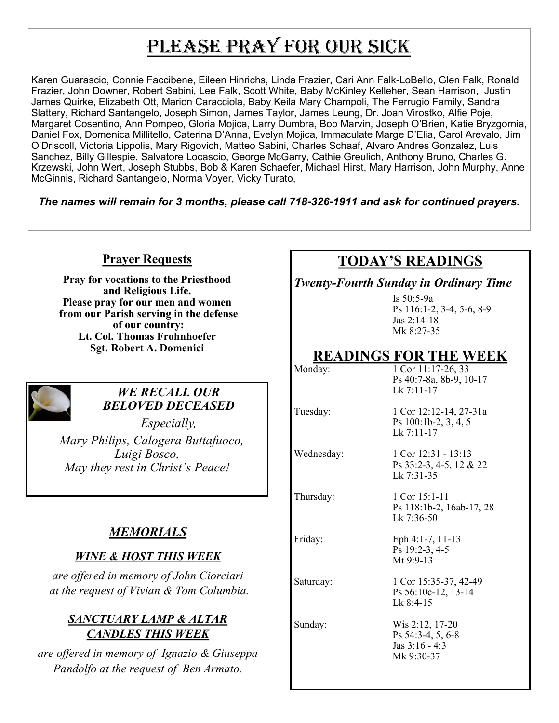# PLEASE PRAY FOR OUR SICK

Karen Guarascio, Connie Faccibene, Eileen Hinrichs, Linda Frazier, Cari Ann Falk-LoBello, Glen Falk, Ronald Frazier, John Downer, Robert Sabini, Lee Falk, Scott White, Baby McKinley Kelleher, Sean Harrison, Justin James Quirke, Elizabeth Ott, Marion Caracciola, Baby Keila Mary Champoli, The Ferrugio Family, Sandra Slattery, Richard Santangelo, Joseph Simon, James Taylor, James Leung, Dr. Joan Virostko, Alfie Poje, Margaret Cosentino, Ann Pompeo, Gloria Mojica, Larry Dumbra, Bob Marvin, Joseph O'Brien, Katie Bryzgornia, Daniel Fox, Domenica Millitello, Caterina D'Anna, Evelyn Mojica, Immaculate Marge D'Elia, Carol Arevalo, Jim O'Driscoll, Victoria Lippolis, Mary Rigovich, Matteo Sabini, Charles Schaaf, Alvaro Andres Gonzalez, Luis Sanchez, Billy Gillespie, Salvatore Locascio, George McGarry, Cathie Greulich, Anthony Bruno, Charles G. Krzewski, John Wert, Joseph Stubbs, Bob & Karen Schaefer, Michael Hirst, Mary Harrison, John Murphy, Anne McGinnis, Richard Santangelo, Norma Voyer, Vicky Turato,

*The names will remain for 3 months, please call 718-326-1911 and ask for continued prayers.*

#### **Prayer Requests**

**Pray for vocations to the Priesthood and Religious Life. Please pray for our men and women from our Parish serving in the defense of our country: Lt. Col. Thomas Frohnhoefer Sgt. Robert A. Domenici** 



#### *WE RECALL OUR BELOVED DECEASED*

*Especially, Mary Philips, Calogera Buttafuoco, Luigi Bosco, May they rest in Christ's Peace!*

## *MEMORIALS*

### *WINE & HOST THIS WEEK*

*are offered in memory of John Ciorciari at the request of Vivian & Tom Columbia.* 

### *SANCTUARY LAMP & ALTAR CANDLES THIS WEEK*

*are offered in memory of Ignazio & Giuseppa Pandolfo at the request of Ben Armato.* 

# **TODAY'S READINGS**

*Twenty-Fourth Sunday in Ordinary Time*

Is 50:5-9a Ps 116:1-2, 3-4, 5-6, 8-9 Jas 2:14-18 Mk 8:27-35

## **READINGS FOR THE WEEK**

| Monday:    | 1 Cor 11:17-26, 33<br>Ps 40:7-8a, 8b-9, 10-17<br>$Lk$ 7:11-17          |
|------------|------------------------------------------------------------------------|
| Tuesday:   | 1 Cor 12:12-14, 27-31a<br>Ps 100:1b-2, 3, 4, 5<br>$Lk$ 7:11-17         |
| Wednesday: | 1 Cor $12:31 - 13:13$<br>Ps 33:2-3, 4-5, 12 & 22<br>Lk $7:31-35$       |
| Thursday:  | 1 Cor $15:1-11$<br>Ps 118:1b-2, 16ab-17, 28<br>Lk $7:36-50$            |
| Friday:    | Eph 4:1-7, 11-13<br>Ps 19:2-3, 4-5<br>Mt $9:9-13$                      |
| Saturday:  | 1 Cor 15:35-37, 42-49<br>Ps 56:10c-12, 13-14<br>$Lk$ 8:4-15            |
| Sunday:    | Wis 2:12, 17-20<br>Ps 54:3-4, 5, 6-8<br>Jas $3:16 - 4:3$<br>Mk 9:30-37 |
|            |                                                                        |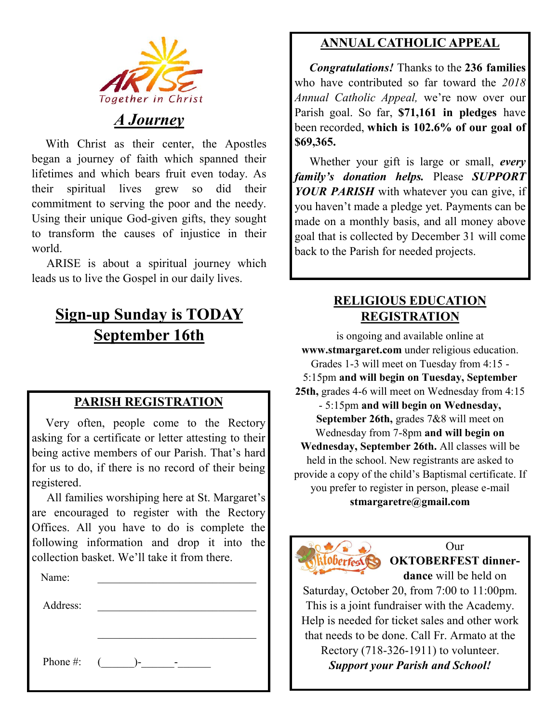

# *A Journey*

 With Christ as their center, the Apostles began a journey of faith which spanned their lifetimes and which bears fruit even today. As their spiritual lives grew so did their commitment to serving the poor and the needy. Using their unique God-given gifts, they sought to transform the causes of injustice in their world.

 ARISE is about a spiritual journey which leads us to live the Gospel in our daily lives.

# **Sign-up Sunday is TODAY September 16th**

### **PARISH REGISTRATION**

 Very often, people come to the Rectory asking for a certificate or letter attesting to their being active members of our Parish. That's hard for us to do, if there is no record of their being registered.

 All families worshiping here at St. Margaret's are encouraged to register with the Rectory Offices. All you have to do is complete the following information and drop it into the collection basket. We'll take it from there. Ĭ

| Name:    |                 |
|----------|-----------------|
| Address: |                 |
|          |                 |
|          |                 |
|          | Phone #: $($ )- |
|          |                 |

# **ANNUAL CATHOLIC APPEAL**

 *Congratulations!* Thanks to the **236 families**  who have contributed so far toward the *2018 Annual Catholic Appeal,* we're now over our Parish goal. So far, **\$71,161 in pledges** have been recorded, **which is 102.6% of our goal of \$69,365.** 

 Whether your gift is large or small, *every family's donation helps.* Please *SUPPORT YOUR PARISH* with whatever you can give, if you haven't made a pledge yet. Payments can be made on a monthly basis, and all money above goal that is collected by December 31 will come back to the Parish for needed projects.

## **RELIGIOUS EDUCATION REGISTRATION**

is ongoing and available online at **www.stmargaret.com** under religious education. Grades 1-3 will meet on Tuesday from 4:15 - 5:15pm **and will begin on Tuesday, September 25th,** grades 4-6 will meet on Wednesday from 4:15 - 5:15pm **and will begin on Wednesday, September 26th,** grades 7&8 will meet on Wednesday from 7-8pm **and will begin on Wednesday, September 26th.** All classes will be held in the school. New registrants are asked to provide a copy of the child's Baptismal certificate. If you prefer to register in person, please e-mail **stmargaretre@gmail.com**



Our **OKTOBERFEST dinnerdance** will be held on

Saturday, October 20, from 7:00 to 11:00pm. This is a joint fundraiser with the Academy. Help is needed for ticket sales and other work that needs to be done. Call Fr. Armato at the Rectory (718-326-1911) to volunteer. *Support your Parish and School!*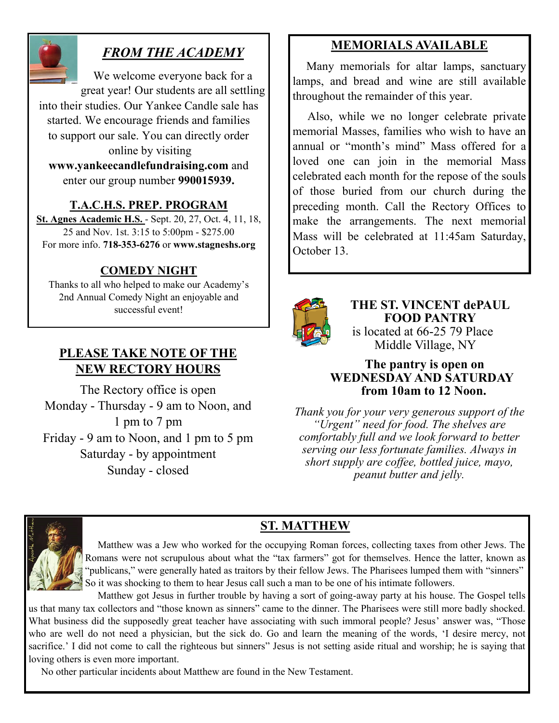

# *FROM THE ACADEMY*

We welcome everyone back for a great year! Our students are all settling into their studies. Our Yankee Candle sale has started. We encourage friends and families to support our sale. You can directly order online by visiting **www.yankeecandlefundraising.com** and

enter our group number **990015939.**

#### **T.A.C.H.S. PREP. PROGRAM**

**St. Agnes Academic H.S.** - Sept. 20, 27, Oct. 4, 11, 18, 25 and Nov. 1st. 3:15 to 5:00pm - \$275.00 For more info. **718-353-6276** or **www.stagneshs.org**

### **COMEDY NIGHT**

Thanks to all who helped to make our Academy's 2nd Annual Comedy Night an enjoyable and successful event!

## **PLEASE TAKE NOTE OF THE NEW RECTORY HOURS**

The Rectory office is open Monday - Thursday - 9 am to Noon, and 1 pm to 7 pm Friday - 9 am to Noon, and 1 pm to 5 pm Saturday - by appointment Sunday - closed

## **MEMORIALS AVAILABLE**

Many memorials for altar lamps, sanctuary lamps, and bread and wine are still available throughout the remainder of this year.

 Also, while we no longer celebrate private memorial Masses, families who wish to have an annual or "month's mind" Mass offered for a loved one can join in the memorial Mass celebrated each month for the repose of the souls of those buried from our church during the preceding month. Call the Rectory Offices to make the arrangements. The next memorial Mass will be celebrated at 11:45am Saturday, October 13.



**THE ST. VINCENT dePAUL FOOD PANTRY** is located at 66-25 79 Place Middle Village, NY

#### **The pantry is open on WEDNESDAY AND SATURDAY from 10am to 12 Noon.**

*Thank you for your very generous support of the "Urgent" need for food. The shelves are comfortably full and we look forward to better serving our less fortunate families. Always in short supply are coffee, bottled juice, mayo, peanut butter and jelly.*



# **ST. MATTHEW**

 Matthew was a Jew who worked for the occupying Roman forces, collecting taxes from other Jews. The Romans were not scrupulous about what the "tax farmers" got for themselves. Hence the latter, known as "publicans," were generally hated as traitors by their fellow Jews. The Pharisees lumped them with "sinners" So it was shocking to them to hear Jesus call such a man to be one of his intimate followers.

 Matthew got Jesus in further trouble by having a sort of going-away party at his house. The Gospel tells us that many tax collectors and "those known as sinners" came to the dinner. The Pharisees were still more badly shocked. What business did the supposedly great teacher have associating with such immoral people? Jesus' answer was, "Those who are well do not need a physician, but the sick do. Go and learn the meaning of the words, 'I desire mercy, not sacrifice.' I did not come to call the righteous but sinners" Jesus is not setting aside ritual and worship; he is saying that loving others is even more important.

No other particular incidents about Matthew are found in the New Testament.